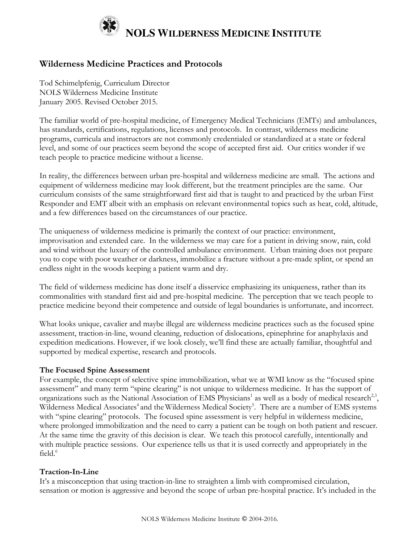

# **Wilderness Medicine Practices and Protocols**

Tod Schimelpfenig, Curriculum Director NOLS Wilderness Medicine Institute January 2005. Revised October 2015.

The familiar world of pre-hospital medicine, of Emergency Medical Technicians (EMTs) and ambulances, has standards, certifications, regulations, licenses and protocols. In contrast, wilderness medicine programs, curricula and instructors are not commonly credentialed or standardized at a state or federal level, and some of our practices seem beyond the scope of accepted first aid. Our critics wonder if we teach people to practice medicine without a license.

In reality, the differences between urban pre-hospital and wilderness medicine are small. The actions and equipment of wilderness medicine may look different, but the treatment principles are the same. Our curriculum consists of the same straightforward first aid that is taught to and practiced by the urban First Responder and EMT albeit with an emphasis on relevant environmental topics such as heat, cold, altitude, and a few differences based on the circumstances of our practice.

The uniqueness of wilderness medicine is primarily the context of our practice: environment, improvisation and extended care. In the wilderness we may care for a patient in driving snow, rain, cold and wind without the luxury of the controlled ambulance environment. Urban training does not prepare you to cope with poor weather or darkness, immobilize a fracture without a pre-made splint, or spend an endless night in the woods keeping a patient warm and dry.

The field of wilderness medicine has done itself a disservice emphasizing its uniqueness, rather than its commonalities with standard first aid and pre-hospital medicine. The perception that we teach people to practice medicine beyond their competence and outside of legal boundaries is unfortunate, and incorrect.

What looks unique, cavalier and maybe illegal are wilderness medicine practices such as the focused spine assessment, traction-in-line, wound cleaning, reduction of dislocations, epinephrine for anaphylaxis and expedition medications. However, if we look closely, we'll find these are actually familiar, thoughtful and supported by medical expertise, research and protocols.

# **The Focused Spine Assessment**

For example, the concept of selective spine immobilization, what we at WMI know as the "focused spine assessment" and many term "spine clearing" is not unique to wilderness medicine. It has the support of organizations such as the National Association of EMS Physicians<sup>1</sup> as well as a body of medical research<sup>2,3</sup>, Wilderness Medical Associates<sup>4</sup> and the Wilderness Medical Society<sup>5</sup>. There are a number of EMS systems with "spine clearing" protocols. The focused spine assessment is very helpful in wilderness medicine, where prolonged immobilization and the need to carry a patient can be tough on both patient and rescuer. At the same time the gravity of this decision is clear. We teach this protocol carefully, intentionally and with multiple practice sessions. Our experience tells us that it is used correctly and appropriately in the field. $6$ 

# **Traction-In-Line**

It's a misconception that using traction-in-line to straighten a limb with compromised circulation, sensation or motion is aggressive and beyond the scope of urban pre-hospital practice. It's included in the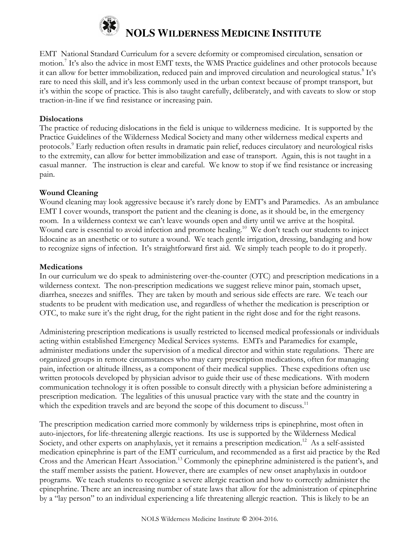

# **NOLS WILDERNESS MEDICINE INSTITUTE**

EMT National Standard Curriculum for a severe deformity or compromised circulation, sensation or motion.<sup>7</sup> It's also the advice in most EMT texts, the WMS Practice guidelines and other protocols because it can allow for better immobilization, reduced pain and improved circulation and neurological status.<sup>8</sup> It's rare to need this skill, and it's less commonly used in the urban context because of prompt transport, but it's within the scope of practice. This is also taught carefully, deliberately, and with caveats to slow or stop traction-in-line if we find resistance or increasing pain.

#### **Dislocations**

The practice of reducing dislocations in the field is unique to wilderness medicine. It is supported by the Practice Guidelines of the Wilderness Medical Society and many other wilderness medical experts and protocols.<sup>9</sup> Early reduction often results in dramatic pain relief, reduces circulatory and neurological risks to the extremity, can allow for better immobilization and ease of transport. Again, this is not taught in a casual manner. The instruction is clear and careful. We know to stop if we find resistance or increasing pain.

#### **Wound Cleaning**

Wound cleaning may look aggressive because it's rarely done by EMT's and Paramedics. As an ambulance EMT I cover wounds, transport the patient and the cleaning is done, as it should be, in the emergency room. In a wilderness context we can't leave wounds open and dirty until we arrive at the hospital. Wound care is essential to avoid infection and promote healing.<sup>10</sup> We don't teach our students to inject lidocaine as an anesthetic or to suture a wound. We teach gentle irrigation, dressing, bandaging and how to recognize signs of infection. It's straightforward first aid. We simply teach people to do it properly.

#### **Medications**

In our curriculum we do speak to administering over-the-counter (OTC) and prescription medications in a wilderness context. The non-prescription medications we suggest relieve minor pain, stomach upset, diarrhea, sneezes and sniffles. They are taken by mouth and serious side effects are rare. We teach our students to be prudent with medication use, and regardless of whether the medication is prescription or OTC, to make sure it's the right drug, for the right patient in the right dose and for the right reasons.

Administering prescription medications is usually restricted to licensed medical professionals or individuals acting within established Emergency Medical Services systems. EMTs and Paramedics for example, administer mediations under the supervision of a medical director and within state regulations. There are organized groups in remote circumstances who may carry prescription medications, often for managing pain, infection or altitude illness, as a component of their medical supplies. These expeditions often use written protocols developed by physician advisor to guide their use of these medications. With modern communication technology it is often possible to consult directly with a physician before administering a prescription medication. The legalities of this unusual practice vary with the state and the country in which the expedition travels and are beyond the scope of this document to discuss.<sup>11</sup>

The prescription medication carried more commonly by wilderness trips is epinephrine, most often in auto-injectors, for life-threatening allergic reactions. Its use is supported by the Wilderness Medical Society, and other experts on anaphylaxis, yet it remains a prescription medication.<sup>12</sup> As a self-assisted medication epinephrine is part of the EMT curriculum, and recommended as a first aid practice by the Red Cross and the American Heart Association.13 Commonly the epinephrine administered is the patient's, and the staff member assists the patient. However, there are examples of new onset anaphylaxis in outdoor programs. We teach students to recognize a severe allergic reaction and how to correctly administer the epinephrine. There are an increasing number of state laws that allow for the administration of epinephrine by a "lay person" to an individual experiencing a life threatening allergic reaction. This is likely to be an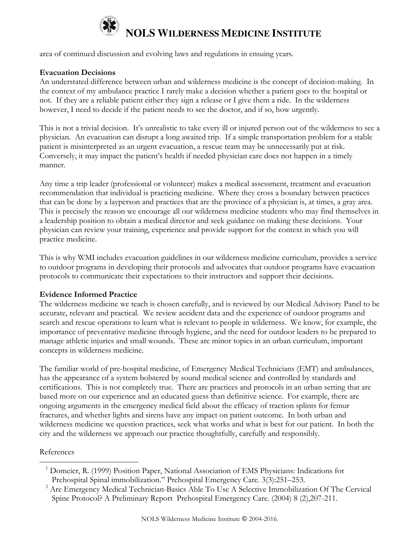

# **NOLS WILDERNESS MEDICINE INSTITUTE**

area of continued discussion and evolving laws and regulations in ensuing years.

# **Evacuation Decisions**

An understated difference between urban and wilderness medicine is the concept of decision-making. In the context of my ambulance practice I rarely make a decision whether a patient goes to the hospital or not. If they are a reliable patient either they sign a release or I give them a ride. In the wilderness however, I need to decide if the patient needs to see the doctor, and if so, how urgently.

This is not a trivial decision. It's unrealistic to take every ill or injured person out of the wilderness to see a physician. An evacuation can disrupt a long awaited trip. If a simple transportation problem for a stable patient is misinterpreted as an urgent evacuation, a rescue team may be unnecessarily put at risk. Conversely, it may impact the patient's health if needed physician care does not happen in a timely manner.

Any time a trip leader (professional or volunteer) makes a medical assessment, treatment and evacuation recommendation that individual is practicing medicine. Where they cross a boundary between practices that can be done by a layperson and practices that are the province of a physician is, at times, a gray area. This is precisely the reason we encourage all our wilderness medicine students who may find themselves in a leadership position to obtain a medical director and seek guidance on making these decisions. Your physician can review your training, experience and provide support for the context in which you will practice medicine.

This is why WMI includes evacuation guidelines in our wilderness medicine curriculum, provides a service to outdoor programs in developing their protocols and advocates that outdoor programs have evacuation protocols to communicate their expectations to their instructors and support their decisions.

# **Evidence Informed Practice**

The wilderness medicine we teach is chosen carefully, and is reviewed by our Medical Advisory Panel to be accurate, relevant and practical. We review accident data and the experience of outdoor programs and search and rescue operations to learn what is relevant to people in wilderness. We know, for example, the importance of preventative medicine through hygiene, and the need for outdoor leaders to be prepared to manage athletic injuries and small wounds. These are minor topics in an urban curriculum, important concepts in wilderness medicine.

The familiar world of pre-hospital medicine, of Emergency Medical Technicians (EMT) and ambulances, has the appearance of a system bolstered by sound medical science and controlled by standards and certifications. This is not completely true. There are practices and protocols in an urban setting that are based more on our experience and an educated guess than definitive science. For example, there are ongoing arguments in the emergency medical field about the efficacy of traction splints for femur fractures, and whether lights and sirens have any impact on patient outcome. In both urban and wilderness medicine we question practices, seek what works and what is best for our patient. In both the city and the wilderness we approach our practice thoughtfully, carefully and responsibly.

# References

 $\overline{a}$ 

<sup>&</sup>lt;sup>1</sup> Domeier, R. (1999) Position Paper, National Association of EMS Physicians: Indications for Prehospital Spinal immobilization." Prehospital Emergency Care. 3(3):251–253.

<sup>&</sup>lt;sup>2</sup> Are Emergency Medical Technician-Basics Able To Use A Selective Immobilization Of The Cervical Spine Protocol? A Preliminary Report Prehospital Emergency Care. (2004) 8 (2),207-211.